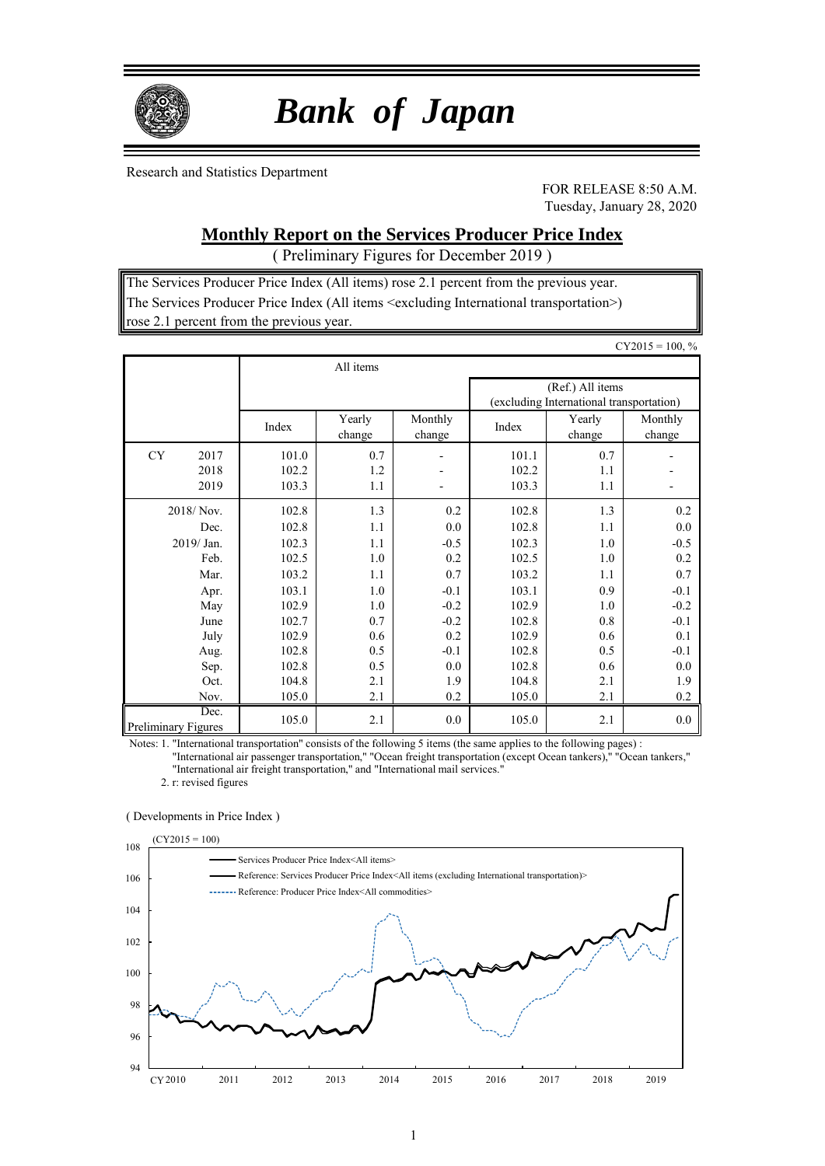

 *Bank of Japan*

Research and Statistics Department

FOR RELEASE 8:50 A.M. Tuesday, January 28, 2020

## **Monthly Report on the Services Producer Price Index**

( Preliminary Figures for December 2019 )

The Services Producer Price Index (All items) rose 2.1 percent from the previous year. The Services Producer Price Index (All items <excluding International transportation>) rose 2.1 percent from the previous year.

|                                    |                |                  |                   |                |                                                              | $CY2015 = 100, %$ |  |  |
|------------------------------------|----------------|------------------|-------------------|----------------|--------------------------------------------------------------|-------------------|--|--|
|                                    |                | All items        |                   |                |                                                              |                   |  |  |
|                                    |                |                  |                   |                | (Ref.) All items<br>(excluding International transportation) |                   |  |  |
|                                    | Index          | Yearly<br>change | Monthly<br>change | Index          | Yearly<br>change                                             | Monthly<br>change |  |  |
| <b>CY</b><br>2017<br>2018          | 101.0<br>102.2 | 0.7<br>1.2       |                   | 101.1<br>102.2 | 0.7<br>1.1                                                   |                   |  |  |
| 2019                               | 103.3          | 1.1              |                   | 103.3          | 1.1                                                          |                   |  |  |
| 2018/Nov.                          | 102.8          | 1.3              | 0.2               | 102.8          | 1.3                                                          | 0.2               |  |  |
| Dec.                               | 102.8          | 1.1              | 0.0               | 102.8          | 1.1                                                          | 0.0               |  |  |
| $2019/$ Jan.                       | 102.3          | 1.1              | $-0.5$            | 102.3          | 1.0                                                          | $-0.5$            |  |  |
| Feb.                               | 102.5          | 1.0              | 0.2               | 102.5          | 1.0                                                          | 0.2               |  |  |
| Mar.                               | 103.2          | 1.1              | 0.7               | 103.2          | 1.1                                                          | 0.7               |  |  |
| Apr.                               | 103.1          | 1.0              | $-0.1$            | 103.1          | 0.9                                                          | $-0.1$            |  |  |
| May                                | 102.9          | 1.0              | $-0.2$            | 102.9          | 1.0                                                          | $-0.2$            |  |  |
| June                               | 102.7          | 0.7              | $-0.2$            | 102.8          | 0.8                                                          | $-0.1$            |  |  |
| July                               | 102.9          | 0.6              | 0.2               | 102.9          | 0.6                                                          | 0.1               |  |  |
| Aug.                               | 102.8          | 0.5              | $-0.1$            | 102.8          | 0.5                                                          | $-0.1$            |  |  |
| Sep.                               | 102.8          | 0.5              | 0.0               | 102.8          | 0.6                                                          | 0.0               |  |  |
| Oct.                               | 104.8          | 2.1              | 1.9               | 104.8          | 2.1                                                          | 1.9               |  |  |
| Nov.                               | 105.0          | 2.1              | 0.2               | 105.0          | 2.1                                                          | 0.2               |  |  |
| Dec.<br><b>Preliminary Figures</b> | 105.0          | 2.1              | 0.0               | 105.0          | 2.1                                                          | 0.0               |  |  |

Notes: 1. "International transportation" consists of the following 5 items (the same applies to the following pages) :

"International air passenger transportation," "Ocean freight transportation (except Ocean tankers)," "Ocean tankers," "International air freight transportation," and "International mail services."

2. r: revised figures

#### ( Developments in Price Index )

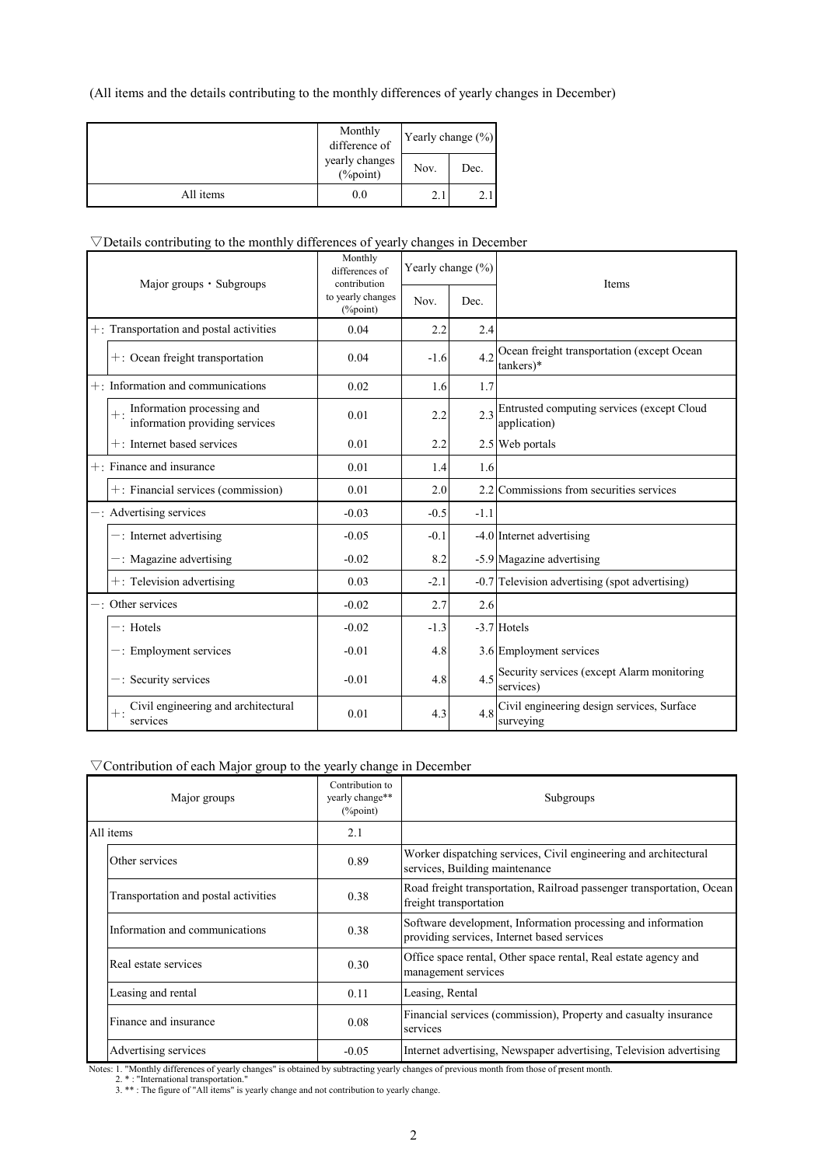(All items and the details contributing to the monthly differences of yearly changes in December)

|           | Monthly<br>difference of   | Yearly change $(\%)$ |      |  |
|-----------|----------------------------|----------------------|------|--|
|           | yearly changes<br>(%point) | Nov.                 | Dec. |  |
| All items | $_{\rm 0.0}$               | 2.                   |      |  |

### $\nabla$ Details contributing to the monthly differences of yearly changes in December

| Major groups · Subgroups |                                                                    | Monthly<br>differences of<br>contribution | Yearly change (%) |        | Items                                                      |  |
|--------------------------|--------------------------------------------------------------------|-------------------------------------------|-------------------|--------|------------------------------------------------------------|--|
|                          |                                                                    | to yearly changes<br>$(\%$ point)         | Nov.              | Dec.   |                                                            |  |
|                          | $+$ : Transportation and postal activities                         | 0.04                                      | 2.2               | 2.4    |                                                            |  |
|                          | $+$ : Ocean freight transportation                                 | 0.04                                      | $-1.6$            | 4.2    | Ocean freight transportation (except Ocean<br>$tankers)*$  |  |
|                          | $+$ : Information and communications                               | 0.02                                      | 1.6               | 1.7    |                                                            |  |
|                          | $+$ : Information processing and<br>information providing services | 0.01                                      | 2.2               | 2.3    | Entrusted computing services (except Cloud<br>application) |  |
|                          | $+$ : Internet based services                                      | 0.01                                      | 2.2               |        | 2.5 Web portals                                            |  |
|                          | $+$ : Finance and insurance                                        | 0.01                                      | 1.4               | 1.6    |                                                            |  |
|                          | +: Financial services (commission)                                 | 0.01                                      | 2.0               |        | 2.2 Commissions from securities services                   |  |
|                          | $-$ : Advertising services                                         | $-0.03$                                   | $-0.5$            | $-1.1$ |                                                            |  |
|                          | $-$ : Internet advertising                                         | $-0.05$                                   | $-0.1$            |        | -4.0 Internet advertising                                  |  |
|                          | $-$ : Magazine advertising                                         | $-0.02$                                   | 8.2               |        | -5.9 Magazine advertising                                  |  |
|                          | $+$ : Television advertising                                       | 0.03                                      | $-2.1$            |        | -0.7 Television advertising (spot advertising)             |  |
|                          | $-$ : Other services                                               | $-0.02$                                   | 2.7               | 2.6    |                                                            |  |
|                          | $-$ : Hotels                                                       | $-0.02$                                   | $-1.3$            |        | $-3.7$ Hotels                                              |  |
|                          | $-$ : Employment services                                          | $-0.01$                                   | 4.8               |        | 3.6 Employment services                                    |  |
|                          | -: Security services                                               | $-0.01$                                   | 4.8               | 4.5    | Security services (except Alarm monitoring<br>services)    |  |
|                          | Civil engineering and architectural<br>services                    | 0.01                                      | 4.3               | 4.8    | Civil engineering design services, Surface<br>surveying    |  |

## ▽Contribution of each Major group to the yearly change in December

| Major groups                                                                    | Contribution to<br>yearly change**<br>$(\%$ point) | Subgroups                                                                                                        |
|---------------------------------------------------------------------------------|----------------------------------------------------|------------------------------------------------------------------------------------------------------------------|
| All items                                                                       | 2.1                                                |                                                                                                                  |
| Other services                                                                  | 0.89                                               | Worker dispatching services, Civil engineering and architectural<br>services, Building maintenance               |
| Transportation and postal activities                                            | 0.38                                               | Road freight transportation, Railroad passenger transportation, Ocean<br>freight transportation                  |
| Information and communications                                                  | 0.38                                               | Software development, Information processing and information<br>providing services, Internet based services      |
| Real estate services                                                            | 0.30                                               | Office space rental, Other space rental, Real estate agency and<br>management services                           |
| Leasing and rental                                                              | 0.11                                               | Leasing, Rental                                                                                                  |
| Finance and insurance                                                           | 0.08                                               | Financial services (commission), Property and casualty insurance<br>services                                     |
| Advertising services<br>$\sim$ $\sim$ $\sim$ $\sim$ $\sim$ $\sim$ $\sim$ $\sim$ | $-0.05$                                            | Internet advertising, Newspaper advertising, Television advertising<br>$\sim$ $\sim$ $\sim$ $\sim$ $\sim$ $\sim$ |

Notes: 1. "Monthly differences of yearly changes" is obtained by subtracting yearly changes of previous month from those of present month.<br>2. \*: "International transportation."<br>3. \*\*: The figure of "All items" is yearly ch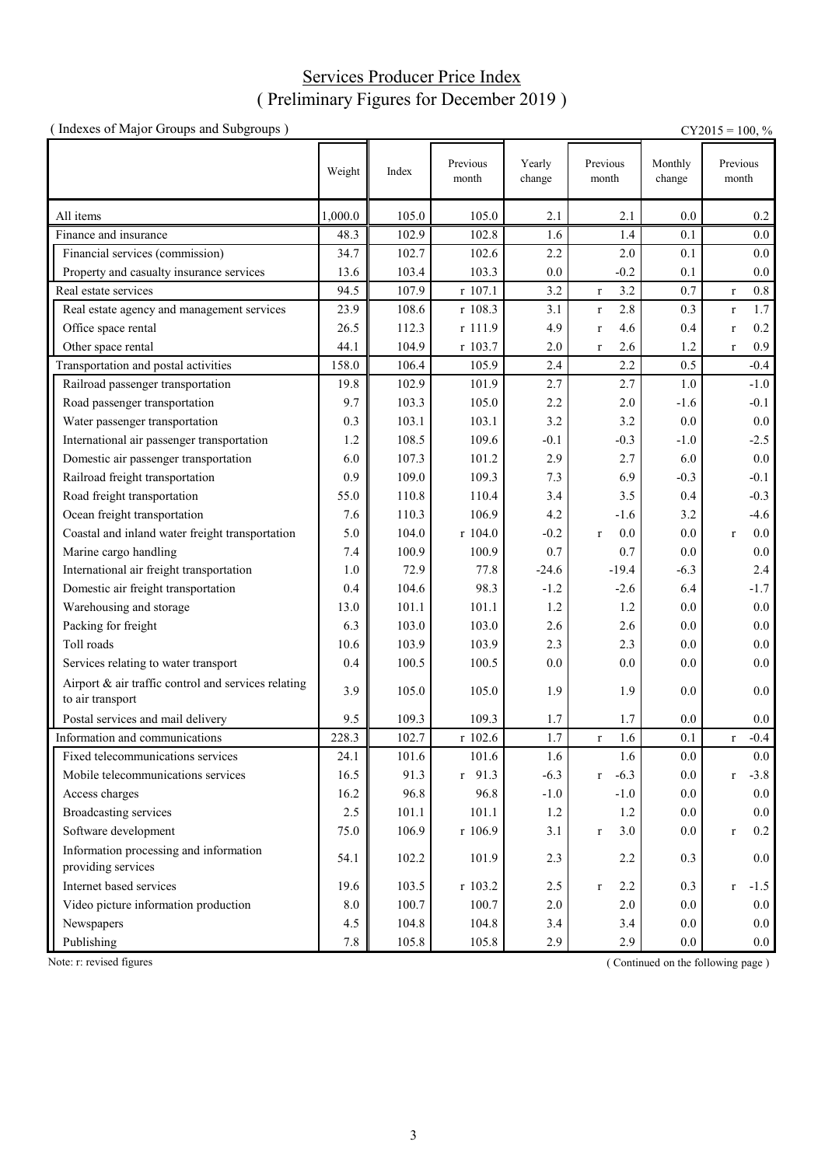## Services Producer Price Index ( Preliminary Figures for December 2019 )

| (Indexes of Major Groups and Subgroups)                                 |         |       |                   |                  |                     |                   | $CY2015 = 100, %$      |
|-------------------------------------------------------------------------|---------|-------|-------------------|------------------|---------------------|-------------------|------------------------|
|                                                                         | Weight  | Index | Previous<br>month | Yearly<br>change | Previous<br>month   | Monthly<br>change | Previous<br>month      |
| All items                                                               | 1,000.0 | 105.0 | 105.0             | 2.1              | 2.1                 | 0.0               | $0.2\,$                |
| Finance and insurance                                                   | 48.3    | 102.9 | 102.8             | 1.6              | 1.4                 | 0.1               | 0.0                    |
| Financial services (commission)                                         | 34.7    | 102.7 | 102.6             | 2.2              | 2.0                 | 0.1               | 0.0                    |
| Property and casualty insurance services                                | 13.6    | 103.4 | 103.3             | 0.0              | $-0.2$              | 0.1               | 0.0                    |
| Real estate services                                                    | 94.5    | 107.9 | r 107.1           | 3.2              | 3.2<br>$\mathbf{r}$ | 0.7               | $0.8\,$<br>$\mathbf r$ |
| Real estate agency and management services                              | 23.9    | 108.6 | r 108.3           | 3.1              | 2.8<br>$\mathbf{r}$ | 0.3               | $1.7\,$<br>$\mathbf r$ |
| Office space rental                                                     | 26.5    | 112.3 | r 111.9           | 4.9              | 4.6<br>$\mathbf r$  | 0.4               | 0.2<br>$\mathbf r$     |
| Other space rental                                                      | 44.1    | 104.9 | r 103.7           | 2.0              | 2.6<br>$\mathbf{r}$ | 1.2               | 0.9<br>$\mathbf r$     |
| Transportation and postal activities                                    | 158.0   | 106.4 | 105.9             | 2.4              | 2.2                 | 0.5               | $-0.4$                 |
| Railroad passenger transportation                                       | 19.8    | 102.9 | 101.9             | 2.7              | 2.7                 | 1.0               | $-1.0$                 |
| Road passenger transportation                                           | 9.7     | 103.3 | 105.0             | 2.2              | 2.0                 | $-1.6$            | $-0.1$                 |
| Water passenger transportation                                          | 0.3     | 103.1 | 103.1             | 3.2              | 3.2                 | 0.0               | 0.0                    |
| International air passenger transportation                              | 1.2     | 108.5 | 109.6             | $-0.1$           | $-0.3$              | $-1.0$            | $-2.5$                 |
| Domestic air passenger transportation                                   | 6.0     | 107.3 | 101.2             | 2.9              | 2.7                 | 6.0               | $0.0\,$                |
| Railroad freight transportation                                         | 0.9     | 109.0 | 109.3             | 7.3              | 6.9                 | $-0.3$            | $-0.1$                 |
| Road freight transportation                                             | 55.0    | 110.8 | 110.4             | 3.4              | 3.5                 | 0.4               | $-0.3$                 |
| Ocean freight transportation                                            | 7.6     | 110.3 | 106.9             | 4.2              | $-1.6$              | 3.2               | $-4.6$                 |
| Coastal and inland water freight transportation                         | 5.0     | 104.0 | r 104.0           | $-0.2$           | 0.0<br>$\mathbf{r}$ | 0.0               | $0.0\,$<br>$\mathbf r$ |
| Marine cargo handling                                                   | 7.4     | 100.9 | 100.9             | 0.7              | 0.7                 | 0.0               | $0.0\,$                |
| International air freight transportation                                | 1.0     | 72.9  | 77.8              | $-24.6$          | $-19.4$             | $-6.3$            | 2.4                    |
| Domestic air freight transportation                                     | 0.4     | 104.6 | 98.3              | $-1.2$           | $-2.6$              | 6.4               | $-1.7$                 |
| Warehousing and storage                                                 | 13.0    | 101.1 | 101.1             | 1.2              | 1.2                 | 0.0               | $0.0\,$                |
| Packing for freight                                                     | 6.3     | 103.0 | 103.0             | 2.6              | 2.6                 | 0.0               | 0.0                    |
| Toll roads                                                              | 10.6    | 103.9 | 103.9             | 2.3              | 2.3                 | 0.0               | 0.0                    |
| Services relating to water transport                                    | 0.4     | 100.5 | 100.5             | 0.0              | 0.0                 | 0.0               | 0.0                    |
| Airport & air traffic control and services relating<br>to air transport | 3.9     | 105.0 | 105.0             | 1.9              | 1.9                 | 0.0               | 0.0                    |
| Postal services and mail delivery                                       | 9.5     | 109.3 | 109.3             | 1.7              | 1.7                 | 0.0               | 0.0                    |
| Information and communications                                          | 228.3   | 102.7 | r 102.6           | 1.7              | 1.6<br>$\mathbf{r}$ | 0.1               | $-0.4$<br>$\mathbf r$  |
| Fixed telecommunications services                                       | 24.1    | 101.6 | 101.6             | 1.6              | 1.6                 | 0.0               | $0.0\,$                |
| Mobile telecommunications services                                      | 16.5    | 91.3  | $r$ 91.3          | $-6.3$           | $-6.3$<br>r         | 0.0               | $-3.8$<br>$\mathbf r$  |
| Access charges                                                          | 16.2    | 96.8  | 96.8              | $-1.0$           | $-1.0$              | 0.0               | 0.0                    |
| <b>Broadcasting services</b>                                            | 2.5     | 101.1 | 101.1             | 1.2              | 1.2                 | 0.0               | 0.0                    |
| Software development                                                    | 75.0    | 106.9 | r 106.9           | 3.1              | 3.0<br>$\mathbf{r}$ | 0.0               | 0.2<br>$\mathbf r$     |
| Information processing and information<br>providing services            | 54.1    | 102.2 | 101.9             | 2.3              | 2.2                 | 0.3               | 0.0                    |
| Internet based services                                                 | 19.6    | 103.5 | r 103.2           | 2.5              | 2.2<br>$\bf r$      | 0.3               | $-1.5$<br>$\mathbf r$  |
| Video picture information production                                    | 8.0     | 100.7 | 100.7             | $2.0\,$          | 2.0                 | 0.0               | 0.0                    |
| Newspapers                                                              | 4.5     | 104.8 | 104.8             | 3.4              | 3.4                 | 0.0               | 0.0                    |
| Publishing                                                              | 7.8     | 105.8 | 105.8             | 2.9              | 2.9                 | 0.0               | 0.0                    |

Note: r: revised figures (Continued on the following page)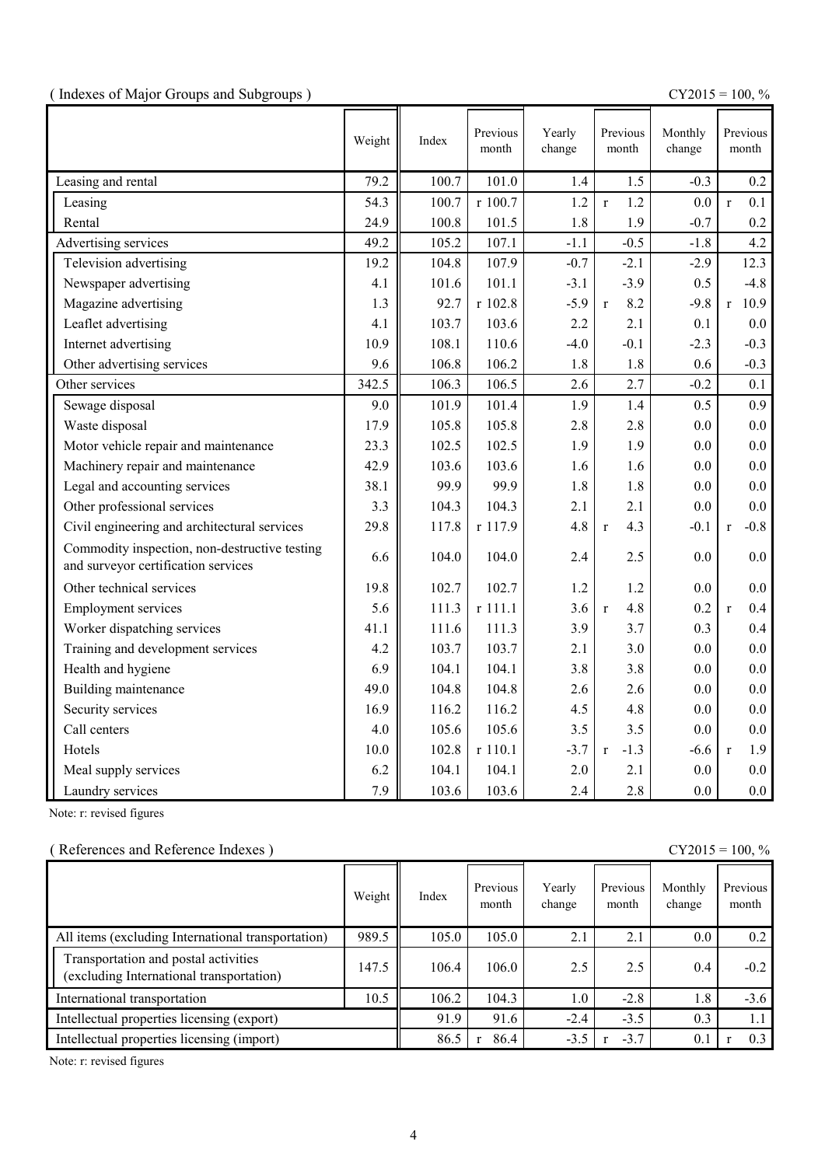|  |  | (Indexes of Major Groups and Subgroups) |  |
|--|--|-----------------------------------------|--|
|  |  |                                         |  |

(  $\text{CY2015} = 100, \%$ 

|                                                                                      | Weight | Index | Previous<br>month | Yearly<br>change | Previous<br>month      | Monthly<br>change | Previous<br>month      |
|--------------------------------------------------------------------------------------|--------|-------|-------------------|------------------|------------------------|-------------------|------------------------|
| Leasing and rental                                                                   | 79.2   | 100.7 | 101.0             | 1.4              | 1.5                    | $-0.3$            | 0.2                    |
| Leasing                                                                              | 54.3   | 100.7 | r 100.7           | 1.2              | 1.2<br>$\mathbf{r}$    | 0.0               | 0.1<br>$\mathbf{r}$    |
| Rental                                                                               | 24.9   | 100.8 | 101.5             | 1.8              | 1.9                    | $-0.7$            | 0.2                    |
| Advertising services                                                                 | 49.2   | 105.2 | 107.1             | $-1.1$           | $-0.5$                 | $-1.8$            | 4.2                    |
| Television advertising                                                               | 19.2   | 104.8 | 107.9             | $-0.7$           | $-2.1$                 | $-2.9$            | 12.3                   |
| Newspaper advertising                                                                | 4.1    | 101.6 | 101.1             | $-3.1$           | $-3.9$                 | 0.5               | $-4.8$                 |
| Magazine advertising                                                                 | 1.3    | 92.7  | r 102.8           | $-5.9$           | 8.2<br>$\mathbf{r}$    | $-9.8$            | 10.9<br>r              |
| Leaflet advertising                                                                  | 4.1    | 103.7 | 103.6             | 2.2              | 2.1                    | 0.1               | 0.0                    |
| Internet advertising                                                                 | 10.9   | 108.1 | 110.6             | $-4.0$           | $-0.1$                 | $-2.3$            | $-0.3$                 |
| Other advertising services                                                           | 9.6    | 106.8 | 106.2             | 1.8              | 1.8                    | 0.6               | $-0.3$                 |
| Other services                                                                       | 342.5  | 106.3 | 106.5             | 2.6              | 2.7                    | $-0.2$            | 0.1                    |
| Sewage disposal                                                                      | 9.0    | 101.9 | 101.4             | 1.9              | 1.4                    | 0.5               | 0.9                    |
| Waste disposal                                                                       | 17.9   | 105.8 | 105.8             | 2.8              | 2.8                    | 0.0               | 0.0                    |
| Motor vehicle repair and maintenance                                                 | 23.3   | 102.5 | 102.5             | 1.9              | 1.9                    | 0.0               | 0.0                    |
| Machinery repair and maintenance                                                     | 42.9   | 103.6 | 103.6             | 1.6              | 1.6                    | 0.0               | 0.0                    |
| Legal and accounting services                                                        | 38.1   | 99.9  | 99.9              | 1.8              | 1.8                    | 0.0               | 0.0                    |
| Other professional services                                                          | 3.3    | 104.3 | 104.3             | 2.1              | 2.1                    | 0.0               | 0.0                    |
| Civil engineering and architectural services                                         | 29.8   | 117.8 | r 117.9           | 4.8              | 4.3<br>$\mathbf{r}$    | $-0.1$            | $-0.8$<br>$\mathbf{r}$ |
| Commodity inspection, non-destructive testing<br>and surveyor certification services | 6.6    | 104.0 | 104.0             | 2.4              | 2.5                    | 0.0               | 0.0                    |
| Other technical services                                                             | 19.8   | 102.7 | 102.7             | 1.2              | 1.2                    | 0.0               | 0.0                    |
| <b>Employment services</b>                                                           | 5.6    | 111.3 | r 111.1           | 3.6              | 4.8<br>$\mathbf{r}$    | 0.2               | 0.4<br>$\mathbf{r}$    |
| Worker dispatching services                                                          | 41.1   | 111.6 | 111.3             | 3.9              | 3.7                    | 0.3               | 0.4                    |
| Training and development services                                                    | 4.2    | 103.7 | 103.7             | 2.1              | 3.0                    | 0.0               | 0.0                    |
| Health and hygiene                                                                   | 6.9    | 104.1 | 104.1             | 3.8              | 3.8                    | 0.0               | 0.0                    |
| Building maintenance                                                                 | 49.0   | 104.8 | 104.8             | 2.6              | 2.6                    | 0.0               | 0.0                    |
| Security services                                                                    | 16.9   | 116.2 | 116.2             | 4.5              | 4.8                    | 0.0               | 0.0                    |
| Call centers                                                                         | 4.0    | 105.6 | 105.6             | 3.5              | 3.5                    | 0.0               | 0.0                    |
| Hotels                                                                               | 10.0   | 102.8 | r 110.1           | $-3.7$           | $-1.3$<br>$\mathbf{r}$ | $-6.6$            | 1.9<br>$\mathbf{r}$    |
| Meal supply services                                                                 | 6.2    | 104.1 | 104.1             | 2.0              | 2.1                    | 0.0               | 0.0                    |
| Laundry services                                                                     | 7.9    | 103.6 | 103.6             | 2.4              | 2.8                    | 0.0               | 0.0                    |

Note: r: revised figures

## ( References and Reference Indexes )  $CY2015 = 100, %$

|                                                                                  | Weight | Index | Previous<br>month | Yearly<br>change | Previous<br>month | Monthly<br>change | Previous<br>month |
|----------------------------------------------------------------------------------|--------|-------|-------------------|------------------|-------------------|-------------------|-------------------|
| All items (excluding International transportation)                               | 989.5  | 105.0 | 105.0             | 2.1              | 2.1               | $0.0\,$           | 0.2               |
| Transportation and postal activities<br>(excluding International transportation) | 147.5  | 106.4 | 106.0             | 2.5              | 2.5               | $0.4\,$           | $-0.2$            |
| International transportation                                                     | 10.5   | 106.2 | 104.3             | 1.0              | $-2.8$            | 1.8               | $-3.6$            |
| Intellectual properties licensing (export)                                       |        | 91.9  | 91.6              | $-2.4$           | $-3.5$            | 0.3               | 1.1               |
| Intellectual properties licensing (import)                                       |        | 86.5  | 86.4              | $-3.5$           | $-3.7$            | 0.1               | 0.3               |

Note: r: revised figures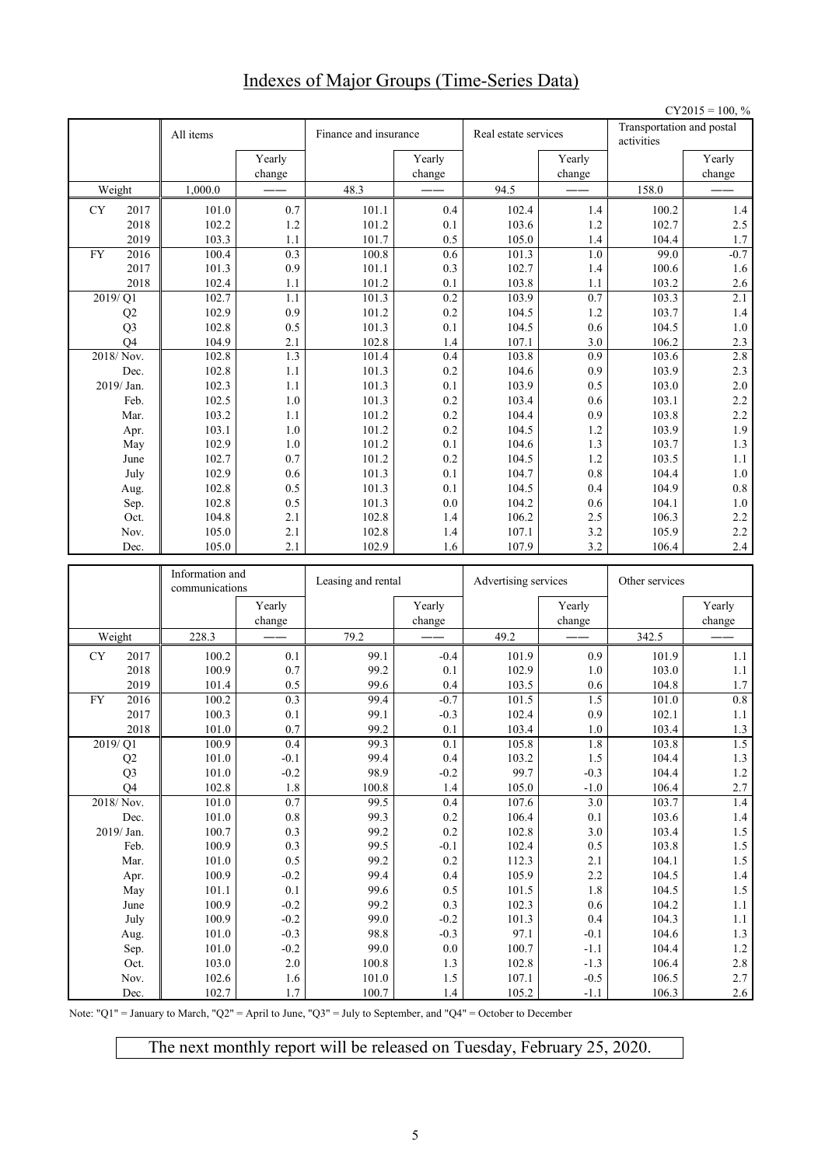# Indexes of Major Groups (Time-Series Data)

|    |                   |                 |                  |                       |                    |                      |                    |                                         | $CY2015 = 100, %$  |
|----|-------------------|-----------------|------------------|-----------------------|--------------------|----------------------|--------------------|-----------------------------------------|--------------------|
|    |                   | All items       |                  | Finance and insurance |                    | Real estate services |                    | Transportation and postal<br>activities |                    |
|    |                   |                 | Yearly           |                       | Yearly             |                      | Yearly             |                                         | Yearly             |
|    | Weight            | 1,000.0         | change           | 48.3                  | change             | 94.5                 | change             | 158.0                                   | change             |
|    |                   |                 |                  |                       |                    |                      |                    |                                         |                    |
| CY | 2017              | 101.0           | 0.7              | 101.1                 | 0.4                | 102.4                | 1.4                | 100.2                                   | 1.4                |
|    | 2018              | 102.2           | 1.2              | 101.2                 | 0.1                | 103.6                | 1.2                | 102.7                                   | 2.5                |
|    | 2019              | 103.3           | 1.1              | 101.7                 | 0.5                | 105.0                | $1.4$              | 104.4<br>99.0                           | 1.7                |
| FY | 2016              | 100.4           | 0.3<br>0.9       | 100.8                 | 0.6                | 101.3                | 1.0<br>1.4         |                                         | $-0.7$<br>1.6      |
|    | 2017<br>2018      | 101.3<br>102.4  | 1.1              | 101.1<br>101.2        | 0.3<br>0.1         | 102.7<br>103.8       | 1.1                | 100.6<br>103.2                          | 2.6                |
|    | $\frac{2019}{21}$ | 102.7           | 1.1              | 101.3                 | 0.2                | 103.9                | $\overline{0.7}$   | 103.3                                   | 2.1                |
|    | Q2                | 102.9           | 0.9              | 101.2                 | 0.2                | 104.5                | 1.2                | 103.7                                   | $1.4$              |
|    | Q <sub>3</sub>    | 102.8           | 0.5              | 101.3                 | 0.1                | 104.5                | 0.6                | 104.5                                   | $1.0\,$            |
|    | O <sub>4</sub>    | 104.9           | 2.1              | 102.8                 | 1.4                | 107.1                | 3.0                | 106.2                                   | 2.3                |
|    | 2018/Nov.         | 102.8           | 1.3              | 101.4                 | 0.4                | 103.8                | 0.9                | 103.6                                   | 2.8                |
|    | Dec.              | 102.8           | 1.1              | 101.3                 | 0.2                | 104.6                | 0.9                | 103.9                                   | 2.3                |
|    | 2019/Jan.         | 102.3           | 1.1              | 101.3                 | 0.1                | 103.9                | 0.5                | 103.0                                   | $2.0\,$            |
|    | Feb.              | 102.5           | $1.0\,$          | 101.3                 | 0.2                | 103.4                | 0.6                | 103.1                                   | 2.2                |
|    | Mar.              | 103.2           | 1.1              | 101.2                 | 0.2                | 104.4                | 0.9                | 103.8                                   | 2.2                |
|    | Apr.              | 103.1           | 1.0              | 101.2                 | 0.2                | 104.5                | 1.2                | 103.9                                   | 1.9                |
|    | May               | 102.9           | 1.0              | 101.2                 | 0.1                | 104.6                | 1.3                | 103.7                                   | $1.3$              |
|    | June              | 102.7           | 0.7              | 101.2                 | 0.2                | 104.5                | 1.2                | 103.5                                   | $1.1\,$            |
|    | July              | 102.9           | 0.6              | 101.3                 | 0.1                | 104.7                | 0.8                | 104.4                                   | $1.0\,$            |
|    | Aug.              | 102.8           | 0.5              | 101.3                 | 0.1                | 104.5                | 0.4                | 104.9                                   | $\rm 0.8$          |
|    | Sep.              | 102.8           | 0.5              | 101.3                 | 0.0                | 104.2                | 0.6                | 104.1                                   | 1.0                |
|    | Oct.              | 104.8           | 2.1              | 102.8                 | 1.4                | 106.2                | 2.5                | 106.3                                   | 2.2                |
|    | Nov.              | 105.0           | 2.1              | 102.8                 | 1.4                | 107.1                | 3.2                | 105.9                                   | 2.2                |
|    | Dec.              | 105.0           | 2.1              | 102.9                 | 1.6                | 107.9                | 3.2                | 106.4                                   | $2.4\,$            |
|    |                   |                 |                  |                       |                    |                      |                    |                                         |                    |
|    |                   | Information and |                  |                       |                    |                      |                    | Other services                          |                    |
|    |                   | communications  |                  | Leasing and rental    |                    | Advertising services |                    |                                         |                    |
|    |                   |                 | Yearly<br>change |                       | Yearly<br>change   |                      | Yearly<br>change   |                                         | Yearly<br>change   |
|    | Weight            | 228.3           |                  | 79.2                  |                    | 49.2                 |                    | 342.5                                   |                    |
| CY | 2017              | 100.2           | 0.1              | 99.1                  | $-0.4$             | 101.9                | 0.9                | 101.9                                   | 1.1                |
|    | 2018              | 100.9           | 0.7              | 99.2                  | 0.1                | 102.9                | 1.0                | 103.0                                   | $1.1\,$            |
|    | 2019              | 101.4           | 0.5              | 99.6                  | 0.4                | 103.5                | 0.6                | 104.8                                   | 1.7                |
| FY | 2016              | 100.2           | 0.3              | 99.4                  | $-0.7$             | 101.5                | 1.5                | 101.0                                   | 0.8                |
|    | 2017              | 100.3           | 0.1              | 99.1                  | $-0.3$             | 102.4                | 0.9                | 102.1                                   | 1.1                |
|    | 2018              | $101.0\,$       | $0.7\,$          | 99.2                  | 0.1                | 103.4                | $1.0\,$            | 103.4                                   | 1.3                |
|    | 2019/Q1           | 100.9           | 0.4              | 99.3                  | 0.1                | 105.8                | $1.8\,$            | 103.8                                   | 1.5                |
|    | Q2                | 101.0           | $-0.1$           | 99.4                  | 0.4                | 103.2                | 1.5                | 104.4                                   | $1.3\,$            |
|    | Q <sub>3</sub>    | 101.0           | $-0.2$           | 98.9                  | $-0.2$             | 99.7                 | $-0.3$             | 104.4                                   | $1.2\,$            |
|    | Q4                | 102.8           | 1.8              | 100.8                 | 1.4                | 105.0                | $-1.0$             | 106.4                                   | $2.7\,$            |
|    | 2018/Nov.         | 101.0           | 0.7              | 99.5                  | 0.4                | 107.6                | 3.0                | 103.7                                   | $1.4\,$            |
|    | Dec.              | 101.0           | $\rm 0.8$        | 99.3                  | $0.2\,$            | 106.4                | $0.1\,$            | 103.6                                   | $1.4\,$            |
|    | 2019/Jan.<br>Feb. | 100.7<br>100.9  | 0.3<br>0.3       | 99.2<br>99.5          | $0.2\,$<br>$-0.1$  | 102.8<br>102.4       | $3.0\,$<br>$0.5\,$ | 103.4<br>103.8                          | $1.5\,$<br>$1.5\,$ |
|    | Mar.              | 101.0           | $0.5\,$          | 99.2                  | $0.2\,$            | 112.3                | 2.1                | 104.1                                   | $1.5\,$            |
|    | Apr.              | 100.9           | $-0.2$           | 99.4                  | $0.4\,$            | 105.9                | $2.2\,$            | 104.5                                   | $1.4\,$            |
|    | May               | 101.1           | 0.1              | 99.6                  | $0.5\,$            | 101.5                | 1.8                | 104.5                                   | $1.5\,$            |
|    | June              | 100.9           | $-0.2$           | 99.2                  | $0.3\,$            | 102.3                | 0.6                | 104.2                                   | 1.1                |
|    | July              | 100.9           | $-0.2$           | 99.0                  | $-0.2$             | 101.3                | 0.4                | 104.3                                   | $1.1\,$            |
|    | Aug.              | 101.0           | $-0.3$           | 98.8                  | $-0.3$             | 97.1                 | $-0.1$             | 104.6                                   | $1.3\,$            |
|    | Sep.              | 101.0           | $-0.2$           | 99.0                  | $0.0\,$            | 100.7                | $-1.1$             | 104.4                                   | $1.2\,$            |
|    | Oct.              | 103.0           | $2.0\,$          | 100.8                 | $1.3\,$            | 102.8                | $-1.3$             | 106.4                                   | $2.8\,$            |
|    | Nov.<br>Dec.      | 102.6<br>102.7  | 1.6<br>1.7       | 101.0<br>100.7        | $1.5\,$<br>$1.4\,$ | 107.1<br>105.2       | $-0.5$<br>$-1.1$   | 106.5<br>106.3                          | 2.7<br>2.6         |

Note: "Q1" = January to March, "Q2" = April to June, "Q3" = July to September, and "Q4" = October to December

The next monthly report will be released on Tuesday, February 25, 2020.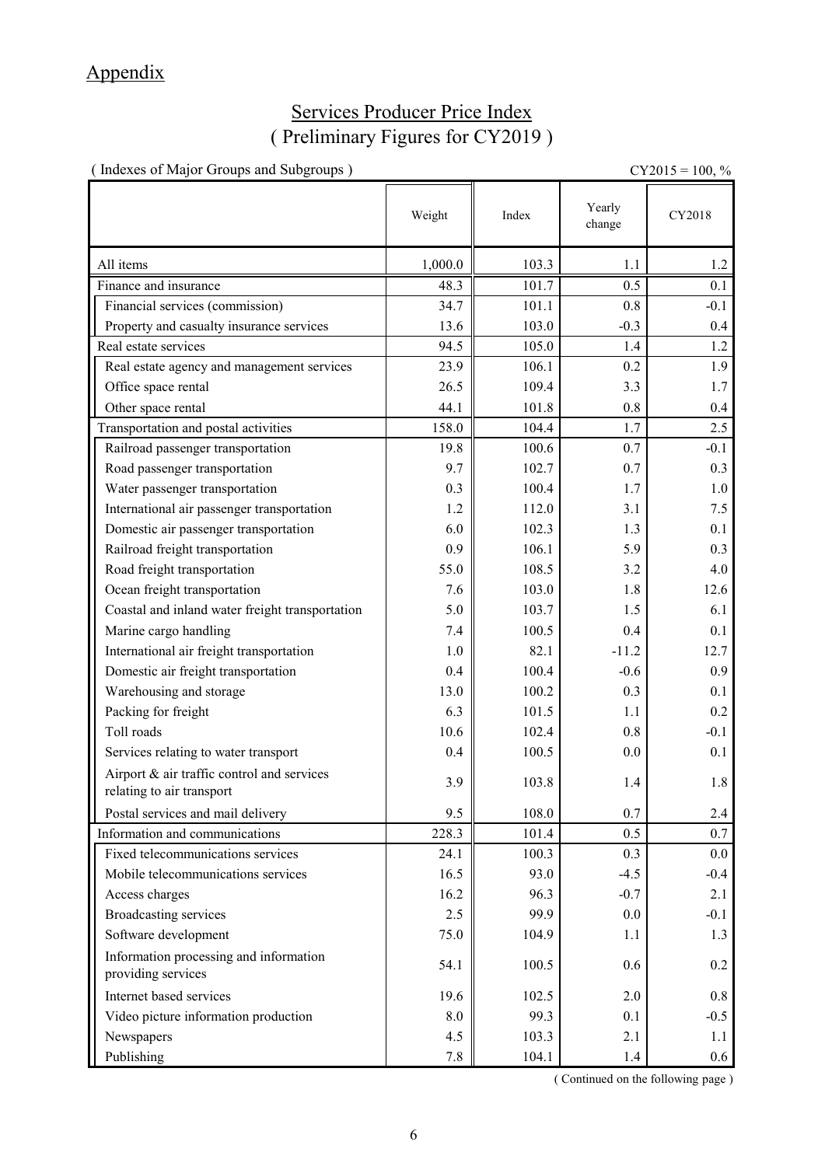# Appendix

# Services Producer Price Index ( Preliminary Figures for CY2019 )

| (Indexes of Major Groups and Subgroups)                                 |            |       |                  | $CY2015 = 100, \%$ |
|-------------------------------------------------------------------------|------------|-------|------------------|--------------------|
|                                                                         | Weight     | Index | Yearly<br>change | CY2018             |
| All items                                                               | 1,000.0    | 103.3 | 1.1              | 1.2                |
| Finance and insurance                                                   | 48.3       | 101.7 | 0.5              | 0.1                |
| Financial services (commission)                                         | 34.7       | 101.1 | 0.8              | $-0.1$             |
| Property and casualty insurance services                                | 13.6       | 103.0 | $-0.3$           | 0.4                |
| Real estate services                                                    | 94.5       | 105.0 | 1.4              | 1.2                |
| Real estate agency and management services                              | 23.9       | 106.1 | 0.2              | 1.9                |
| Office space rental                                                     | 26.5       | 109.4 | 3.3              | 1.7                |
| Other space rental                                                      | 44.1       | 101.8 | 0.8              | 0.4                |
| Transportation and postal activities                                    | 158.0      | 104.4 | 1.7              | 2.5                |
| Railroad passenger transportation                                       | 19.8       | 100.6 | 0.7              | $-0.1$             |
| Road passenger transportation                                           | 9.7        | 102.7 | 0.7              | 0.3                |
| Water passenger transportation                                          | 0.3        | 100.4 | 1.7              | 1.0                |
| International air passenger transportation                              | 1.2        | 112.0 | 3.1              | 7.5                |
| Domestic air passenger transportation                                   | 6.0        | 102.3 | 1.3              | 0.1                |
| Railroad freight transportation                                         | 0.9        | 106.1 | 5.9              | 0.3                |
| Road freight transportation                                             | 55.0       | 108.5 | 3.2              | 4.0                |
| Ocean freight transportation                                            | 7.6        | 103.0 | 1.8              | 12.6               |
| Coastal and inland water freight transportation                         | 5.0        | 103.7 | 1.5              | 6.1                |
| Marine cargo handling                                                   | 7.4        | 100.5 | 0.4              | 0.1                |
| International air freight transportation                                | 1.0        | 82.1  | $-11.2$          | 12.7               |
| Domestic air freight transportation                                     | 0.4        | 100.4 | $-0.6$           | 0.9                |
| Warehousing and storage                                                 | 13.0       | 100.2 | 0.3              | 0.1                |
| Packing for freight                                                     | 6.3        | 101.5 | 1.1              | 0.2                |
| Toll roads                                                              | 10.6       | 102.4 | 0.8              | $-0.1$             |
| Services relating to water transport                                    | 0.4        | 100.5 | 0.0              | 0.1                |
| Airport & air traffic control and services<br>relating to air transport | 3.9        | 103.8 | 1.4              | $1.8\,$            |
| Postal services and mail delivery                                       | 9.5        | 108.0 | 0.7              | 2.4                |
| Information and communications                                          | 228.3      | 101.4 | 0.5              | 0.7                |
| Fixed telecommunications services                                       | 24.1       | 100.3 | 0.3              | 0.0                |
| Mobile telecommunications services                                      | 16.5       | 93.0  | $-4.5$           | $-0.4$             |
| Access charges                                                          | 16.2       | 96.3  | $-0.7$           | 2.1                |
| <b>Broadcasting services</b>                                            | 2.5        | 99.9  | 0.0              | $-0.1$             |
| Software development                                                    | 75.0       | 104.9 | 1.1              | 1.3                |
| Information processing and information<br>providing services            | 54.1       | 100.5 | 0.6              | 0.2                |
| Internet based services                                                 | 19.6       | 102.5 | 2.0              | 0.8                |
| Video picture information production                                    | $\ \, 8.0$ | 99.3  | 0.1              | $-0.5$             |
| Newspapers                                                              | 4.5        | 103.3 | 2.1              | 1.1                |
| Publishing                                                              | $7.8\,$    | 104.1 | 1.4              | $0.6\,$            |

( Continued on the following page )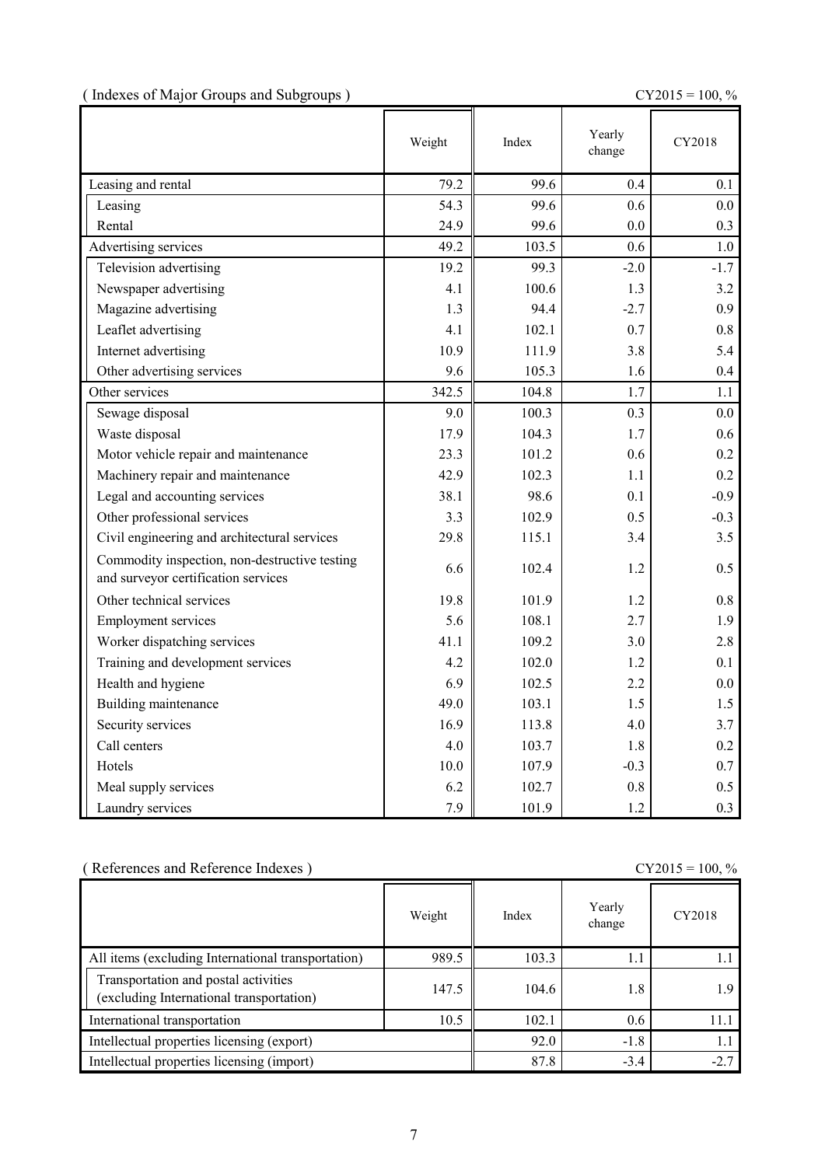|  |  | (Indexes of Major Groups and Subgroups) |  |
|--|--|-----------------------------------------|--|
|  |  |                                         |  |

 $CY2015 = 100, \%$ 

|                                                                                      | Weight | Index | Yearly<br>change | CY2018  |
|--------------------------------------------------------------------------------------|--------|-------|------------------|---------|
| Leasing and rental                                                                   | 79.2   | 99.6  | 0.4              | 0.1     |
| Leasing                                                                              | 54.3   | 99.6  | 0.6              | 0.0     |
| Rental                                                                               | 24.9   | 99.6  | 0.0              | 0.3     |
| Advertising services                                                                 | 49.2   | 103.5 | $0.6^{\circ}$    | 1.0     |
| Television advertising                                                               | 19.2   | 99.3  | $-2.0$           | $-1.7$  |
| Newspaper advertising                                                                | 4.1    | 100.6 | 1.3              | 3.2     |
| Magazine advertising                                                                 | 1.3    | 94.4  | $-2.7$           | 0.9     |
| Leaflet advertising                                                                  | 4.1    | 102.1 | 0.7              | 0.8     |
| Internet advertising                                                                 | 10.9   | 111.9 | 3.8              | 5.4     |
| Other advertising services                                                           | 9.6    | 105.3 | 1.6              | 0.4     |
| Other services                                                                       | 342.5  | 104.8 | 1.7              | 1.1     |
| Sewage disposal                                                                      | 9.0    | 100.3 | 0.3              | 0.0     |
| Waste disposal                                                                       | 17.9   | 104.3 | 1.7              | 0.6     |
| Motor vehicle repair and maintenance                                                 | 23.3   | 101.2 | 0.6              | 0.2     |
| Machinery repair and maintenance                                                     | 42.9   | 102.3 | 1.1              | 0.2     |
| Legal and accounting services                                                        | 38.1   | 98.6  | 0.1              | $-0.9$  |
| Other professional services                                                          | 3.3    | 102.9 | 0.5              | $-0.3$  |
| Civil engineering and architectural services                                         | 29.8   | 115.1 | 3.4              | 3.5     |
| Commodity inspection, non-destructive testing<br>and surveyor certification services | 6.6    | 102.4 | 1.2              | 0.5     |
| Other technical services                                                             | 19.8   | 101.9 | 1.2              | 0.8     |
| <b>Employment services</b>                                                           | 5.6    | 108.1 | 2.7              | 1.9     |
| Worker dispatching services                                                          | 41.1   | 109.2 | 3.0              | 2.8     |
| Training and development services                                                    | 4.2    | 102.0 | 1.2              | 0.1     |
| Health and hygiene                                                                   | 6.9    | 102.5 | 2.2              | $0.0\,$ |
| Building maintenance                                                                 | 49.0   | 103.1 | 1.5              | 1.5     |
| Security services                                                                    | 16.9   | 113.8 | 4.0              | 3.7     |
| Call centers                                                                         | 4.0    | 103.7 | 1.8              | 0.2     |
| Hotels                                                                               | 10.0   | 107.9 | $-0.3$           | 0.7     |
| Meal supply services                                                                 | 6.2    | 102.7 | 0.8              | 0.5     |
| Laundry services                                                                     | 7.9    | 101.9 | 1.2              | 0.3     |

| (References and Reference Indexes)                                               |        |        |                  | $CY2015 = 100, %$ |
|----------------------------------------------------------------------------------|--------|--------|------------------|-------------------|
|                                                                                  | Weight | Index  | Yearly<br>change | CY2018            |
| All items (excluding International transportation)                               | 989.5  | 103.3  | 1.1              |                   |
| Transportation and postal activities<br>(excluding International transportation) | 147.5  | 104.6  | 1.8              | 1.9               |
| International transportation                                                     | 10.5   | 102.1  | 0.6              | 11.1              |
| Intellectual properties licensing (export)                                       | 92.0   | $-1.8$ | 1.1              |                   |
| Intellectual properties licensing (import)                                       | 87.8   | $-3.4$ | $-2.7$           |                   |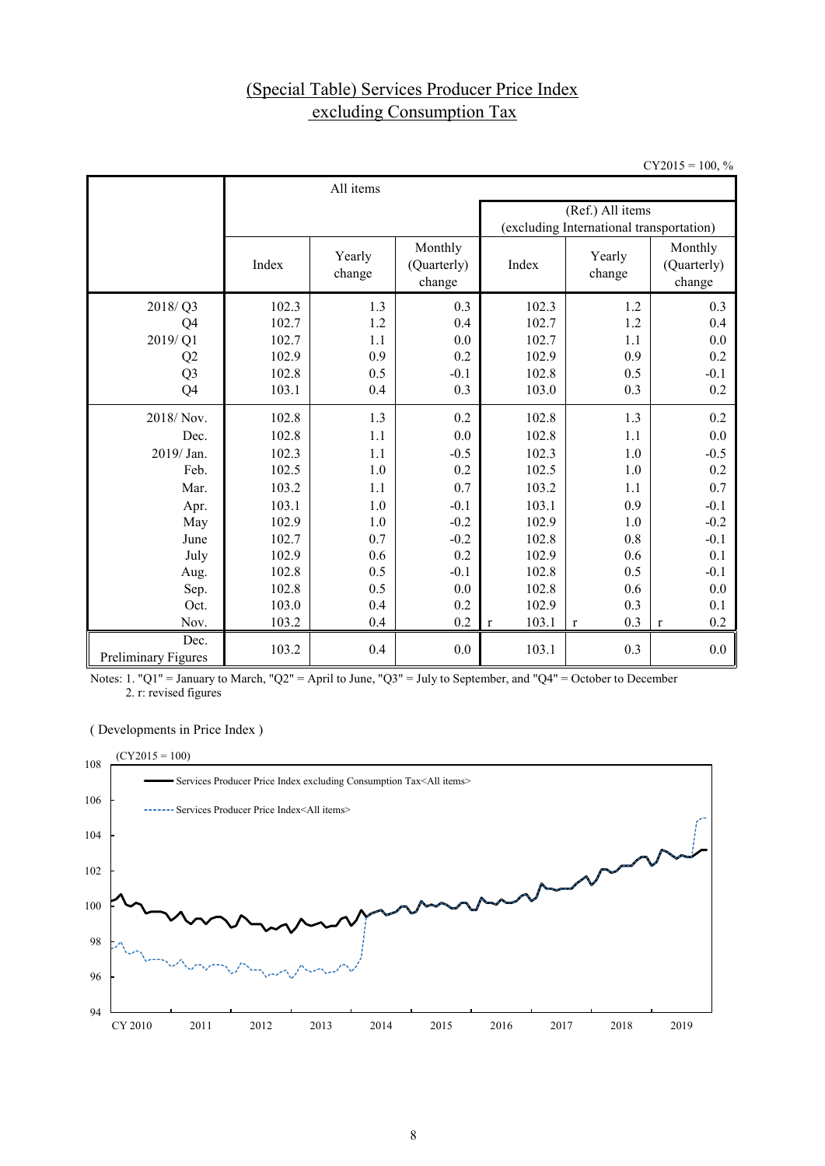# (Special Table) Services Producer Price Index excluding Consumption Tax

 $CY2015 = 100, %$ 

|                             | All items |                  |                                  |                       |                                          |                                  |  |
|-----------------------------|-----------|------------------|----------------------------------|-----------------------|------------------------------------------|----------------------------------|--|
|                             |           |                  |                                  | (Ref.) All items      |                                          |                                  |  |
|                             |           |                  |                                  |                       | (excluding International transportation) |                                  |  |
|                             | Index     | Yearly<br>change | Monthly<br>(Quarterly)<br>change | Index                 | Yearly<br>change                         | Monthly<br>(Quarterly)<br>change |  |
| 2018/Q3                     | 102.3     | 1.3              | 0.3                              | 102.3                 | 1.2                                      | 0.3                              |  |
| Q4                          | 102.7     | 1.2              | 0.4                              | 102.7                 | 1.2                                      | 0.4                              |  |
| 2019/Q1                     | 102.7     | 1.1              | 0.0                              | 102.7                 | 1.1                                      | 0.0                              |  |
| Q2                          | 102.9     | 0.9              | 0.2                              | 102.9                 | 0.9                                      | 0.2                              |  |
| Q <sub>3</sub>              | 102.8     | 0.5              | $-0.1$                           | 102.8                 | 0.5                                      | $-0.1$                           |  |
| Q4                          | 103.1     | 0.4              | 0.3                              | 103.0                 | 0.3                                      | 0.2                              |  |
| 2018/Nov.                   | 102.8     | 1.3              | 0.2                              | 102.8                 | 1.3                                      | 0.2                              |  |
| Dec.                        | 102.8     | 1.1              | 0.0                              | 102.8                 | 1.1                                      | 0.0                              |  |
| 2019/ Jan.                  | 102.3     | 1.1              | $-0.5$                           | 102.3                 | 1.0                                      | $-0.5$                           |  |
| Feb.                        | 102.5     | 1.0              | 0.2                              | 102.5                 | 1.0                                      | 0.2                              |  |
| Mar.                        | 103.2     | 1.1              | 0.7                              | 103.2                 | 1.1                                      | 0.7                              |  |
| Apr.                        | 103.1     | 1.0              | $-0.1$                           | 103.1                 | 0.9                                      | $-0.1$                           |  |
| May                         | 102.9     | 1.0              | $-0.2$                           | 102.9                 | 1.0                                      | $-0.2$                           |  |
| June                        | 102.7     | 0.7              | $-0.2$                           | 102.8                 | 0.8                                      | $-0.1$                           |  |
| July                        | 102.9     | 0.6              | 0.2                              | 102.9                 | 0.6                                      | 0.1                              |  |
| Aug.                        | 102.8     | 0.5              | $-0.1$                           | 102.8                 | 0.5                                      | $-0.1$                           |  |
| Sep.                        | 102.8     | 0.5              | 0.0                              | 102.8                 | 0.6                                      | 0.0                              |  |
| Oct.                        | 103.0     | 0.4              | 0.2                              | 102.9                 | 0.3                                      | 0.1                              |  |
| Nov.                        | 103.2     | 0.4              | 0.2                              | 103.1<br>$\mathbf{r}$ | 0.3<br>$\mathbf{r}$                      | 0.2<br>$\mathbf r$               |  |
| Dec.<br>Preliminary Figures | 103.2     | 0.4              | 0.0                              | 103.1                 | 0.3                                      | 0.0                              |  |

Notes: 1. "Q1" = January to March, "Q2" = April to June, "Q3" = July to September, and "Q4" = October to December  $2.$  r: revised figures

### ( Developments in Price Index )

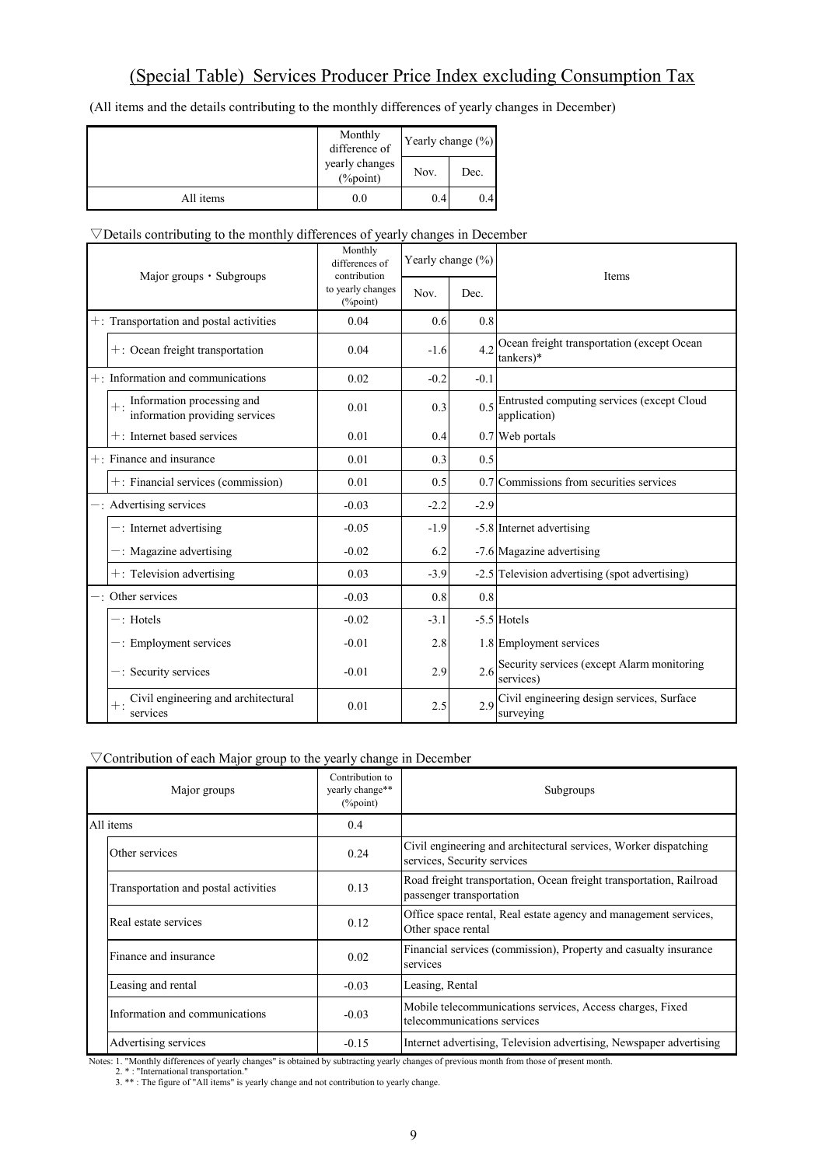(All items and the details contributing to the monthly differences of yearly changes in December)

|           | Monthly<br>difference of       | Yearly change (%) |      |  |
|-----------|--------------------------------|-------------------|------|--|
|           | yearly changes<br>$(\%$ point) | Nov.              | Dec. |  |
| All items | 0.0                            | 0.4               | 0.4  |  |

### $\nabla$ Details contributing to the monthly differences of yearly changes in December

| Major groups $\cdot$ Subgroups |                                                              | Monthly<br>differences of<br>contribution | Yearly change (%) |        | Items                                                       |
|--------------------------------|--------------------------------------------------------------|-------------------------------------------|-------------------|--------|-------------------------------------------------------------|
|                                |                                                              | to yearly changes<br>(%point)             | Nov.              | Dec.   |                                                             |
|                                | $+$ : Transportation and postal activities                   | 0.04                                      | 0.6               | 0.8    |                                                             |
|                                | $+$ : Ocean freight transportation                           | 0.04                                      | $-1.6$            | 42     | Ocean freight transportation (except Ocean<br>tankers)*     |
|                                | $+$ : Information and communications                         | 0.02                                      | $-0.2$            | $-0.1$ |                                                             |
|                                | Information processing and<br>information providing services | 0.01                                      | 0.3               | 0.5    | Entrusted computing services (except Cloud<br>application)  |
|                                | $+$ : Internet based services                                | 0.01                                      | 0.4               |        | 0.7 Web portals                                             |
|                                | $+$ : Finance and insurance                                  | 0.01                                      | 0.3               | 0.5    |                                                             |
|                                | $+$ : Financial services (commission)                        | 0.01                                      | 0.5               |        | 0.7 Commissions from securities services                    |
|                                | $-$ : Advertising services                                   | $-0.03$                                   | $-2.2$            | $-2.9$ |                                                             |
|                                | $-$ : Internet advertising                                   | $-0.05$                                   | $-1.9$            |        | -5.8 Internet advertising                                   |
|                                | $-$ : Magazine advertising                                   | $-0.02$                                   | 6.2               |        | -7.6 Magazine advertising                                   |
|                                | $+$ : Television advertising                                 | 0.03                                      | $-3.9$            |        | -2.5 Television advertising (spot advertising)              |
|                                | $-$ : Other services                                         | $-0.03$                                   | 0.8               | 0.8    |                                                             |
|                                | $-$ : Hotels                                                 | $-0.02$                                   | $-3.1$            |        | -5.5 Hotels                                                 |
|                                | -: Employment services                                       | $-0.01$                                   | 2.8               |        | 1.8 Employment services                                     |
|                                | $-$ : Security services                                      | $-0.01$                                   | 2.9               |        | 2.6 Security services (except Alarm monitoring<br>services) |
|                                | Civil engineering and architectural<br>services              | 0.01                                      | 2.5               | 2.9    | Civil engineering design services, Surface<br>surveying     |

## ▽Contribution of each Major group to the yearly change in December

| Major groups                                                                    | Contribution to<br>yearly change**<br>$(\%$ point) | Subgroups                                                                                                        |
|---------------------------------------------------------------------------------|----------------------------------------------------|------------------------------------------------------------------------------------------------------------------|
| All items                                                                       | 0.4                                                |                                                                                                                  |
| Other services                                                                  | 0.24                                               | Civil engineering and architectural services, Worker dispatching<br>services, Security services                  |
| Transportation and postal activities                                            | 0.13                                               | Road freight transportation, Ocean freight transportation, Railroad<br>passenger transportation                  |
| Real estate services                                                            | 0.12                                               | Office space rental, Real estate agency and management services,<br>Other space rental                           |
| Finance and insurance                                                           | 0.02                                               | Financial services (commission), Property and casualty insurance<br>services                                     |
| Leasing and rental                                                              | $-0.03$                                            | Leasing, Rental                                                                                                  |
| Information and communications                                                  | $-0.03$                                            | Mobile telecommunications services, Access charges, Fixed<br>telecommunications services                         |
| Advertising services<br>$\sim$ $\sim$ $\sim$ $\sim$ $\sim$ $\sim$ $\sim$ $\sim$ | $-0.15$                                            | Internet advertising, Television advertising, Newspaper advertising<br>$\sim$ $\sim$ $\sim$ $\sim$ $\sim$ $\sim$ |

Notes: 1. "Monthly differences of yearly changes" is obtained by subtracting yearly changes of previous month from those of present month.<br>2. \*: "International transportation."<br>3. \*\*: The figure of "All items" is yearly ch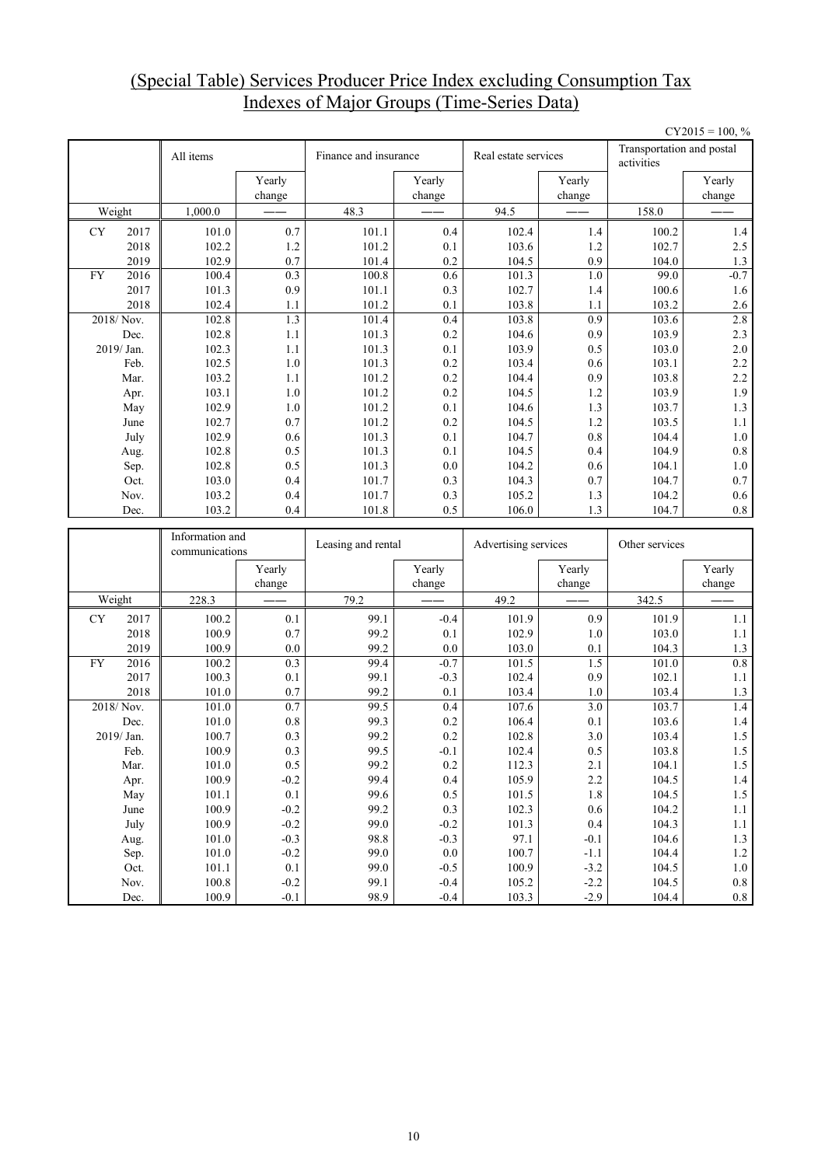## (Special Table) Services Producer Price Index excluding Consumption Tax Indexes of Major Groups (Time-Series Data)

|           |              |                                   |                   |                       |                  |                      |                  |                                         | $CY2015 = 100, %$    |
|-----------|--------------|-----------------------------------|-------------------|-----------------------|------------------|----------------------|------------------|-----------------------------------------|----------------------|
|           |              | All items                         |                   | Finance and insurance |                  | Real estate services |                  | Transportation and postal<br>activities |                      |
|           |              |                                   | Yearly<br>change  |                       | Yearly<br>change |                      | Yearly<br>change |                                         | Yearly<br>change     |
|           | Weight       | 1,000.0                           |                   | 48.3                  |                  | 94.5                 |                  | 158.0                                   |                      |
| <b>CY</b> | 2017         | 101.0                             | 0.7               | 101.1                 | 0.4              | 102.4                | 1.4              | 100.2                                   | $1.4\,$              |
|           | 2018         | 102.2                             | 1.2               | 101.2                 | 0.1              | 103.6                | 1.2              | 102.7                                   | 2.5                  |
|           | 2019         | 102.9                             | 0.7               | 101.4                 | 0.2              | 104.5                | 0.9              | 104.0                                   | 1.3                  |
| <b>FY</b> | 2016         | 100.4                             | 0.3               | 100.8                 | 0.6              | 101.3                | 1.0              | 99.0                                    | $-0.7$               |
|           | 2017         | 101.3                             | 0.9               | 101.1                 | 0.3              | 102.7                | 1.4              | 100.6                                   | 1.6                  |
|           | 2018         | 102.4                             | 1.1               | 101.2                 | 0.1              | 103.8                | 1.1              | 103.2                                   | 2.6                  |
|           | 2018/Nov.    | 102.8                             | 1.3               | 101.4                 | 0.4              | 103.8                | 0.9              | 103.6                                   | 2.8                  |
|           | Dec.         | 102.8                             | 1.1               | 101.3                 | 0.2              | 104.6                | 0.9              | 103.9                                   | 2.3                  |
|           | 2019/Jan.    | 102.3                             | 1.1               | 101.3                 | 0.1              | 103.9                | 0.5              | 103.0                                   | $2.0\,$              |
|           | Feb.         | 102.5                             | 1.0               | 101.3                 | 0.2              | 103.4                | 0.6              | 103.1                                   | 2.2                  |
|           | Mar.         | 103.2                             | 1.1               | 101.2                 | 0.2              | 104.4                | 0.9              | 103.8                                   | 2.2                  |
|           | Apr.         | 103.1                             | 1.0               | 101.2                 | 0.2              | 104.5                | 1.2              | 103.9                                   | 1.9                  |
|           | May          | 102.9                             | $1.0\,$           | 101.2                 | 0.1              | 104.6                | 1.3              | 103.7                                   | $1.3$                |
|           | June         | 102.7                             | 0.7               | 101.2                 | 0.2              | 104.5                | 1.2              | 103.5                                   | 1.1                  |
|           | July         | 102.9                             | 0.6               | 101.3                 | 0.1              | 104.7                | 0.8              | 104.4                                   | $1.0\,$              |
|           | Aug.         | 102.8                             | 0.5               | 101.3                 | 0.1              | 104.5                | 0.4              | 104.9                                   | $\rm 0.8$            |
|           | Sep.         | 102.8                             | 0.5               | 101.3                 | 0.0              | 104.2                | 0.6              | 104.1                                   | $1.0\,$              |
|           | Oct.         | 103.0                             | 0.4               | 101.7                 | 0.3              | 104.3                | 0.7              | 104.7                                   | 0.7                  |
|           | Nov.         | 103.2                             | 0.4               | 101.7                 | 0.3              | 105.2                | 1.3              | 104.2                                   | 0.6                  |
|           | Dec.         | 103.2                             | 0.4               | 101.8                 | 0.5              | 106.0                | 1.3              | 104.7                                   | 0.8                  |
|           |              |                                   |                   |                       |                  |                      |                  |                                         |                      |
|           |              |                                   |                   |                       |                  |                      |                  |                                         |                      |
|           |              | Information and<br>communications |                   | Leasing and rental    |                  | Advertising services |                  | Other services                          |                      |
|           |              |                                   | Yearly            |                       | Yearly           |                      | Yearly           |                                         | Yearly               |
|           |              |                                   | change            |                       | change           |                      | change           |                                         | change               |
|           | Weight       | 228.3                             |                   | 79.2                  |                  | 49.2                 |                  | 342.5                                   |                      |
| <b>CY</b> | 2017         | 100.2                             | 0.1               | 99.1                  | $-0.4$           | 101.9                | 0.9              | 101.9                                   | 1.1                  |
|           | 2018         | 100.9                             | 0.7               | 99.2                  | 0.1              | 102.9                | 1.0              | 103.0                                   | 1.1                  |
|           | 2019         | 100.9                             | 0.0               | 99.2                  | 0.0              | 103.0                | 0.1              | 104.3                                   | $1.3$                |
| <b>FY</b> | 2016         | 100.2                             | 0.3               | 99.4                  | $-0.7$           | 101.5                | 1.5              | 101.0                                   | 0.8                  |
|           | 2017         | 100.3                             | 0.1               | 99.1                  | $-0.3$           | 102.4                | 0.9              | 102.1                                   | $1.1\,$              |
|           | 2018         | 101.0                             | 0.7               | 99.2                  | 0.1              | 103.4                | 1.0              | 103.4                                   | 1.3                  |
|           | 2018/Nov.    | 101.0                             | 0.7               | 99.5                  | 0.4              | 107.6                | 3.0              | 103.7                                   | 1.4                  |
|           | Dec.         | 101.0                             | $0.8\,$           | 99.3                  | 0.2              | 106.4                | 0.1              | 103.6                                   | 1.4                  |
|           | 2019/Jan.    | 100.7                             | 0.3               | 99.2                  | 0.2              | 102.8                | 3.0              | 103.4                                   | 1.5                  |
|           | Feb.         | 100.9                             | 0.3               | 99.5                  | $-0.1$           | 102.4                | $0.5\,$          | 103.8                                   | 1.5                  |
|           | Mar.         | $101.0\,$                         | $0.5\,$           | 99.2                  | 0.2              | 112.3                | 2.1              | 104.1                                   | $1.5\,$              |
|           | Apr.         | 100.9                             | $-0.2$            | 99.4                  | 0.4              | 105.9                | 2.2              | 104.5                                   | $1.4\,$              |
|           | May          | 101.1                             | $0.1\,$           | 99.6                  | 0.5              | 101.5                | $1.8\,$          | 104.5                                   | $1.5\,$              |
|           | June         | 100.9                             | $-0.2$            | 99.2                  | 0.3              | 102.3                | $0.6\,$          | 104.2                                   | $1.1\,$              |
|           | July         | 100.9                             | $-0.2$            | 99.0                  | $-0.2$           | 101.3                | $0.4\,$          | 104.3                                   | $1.1\,$              |
|           | Aug.         | 101.0                             | $-0.3$            | 98.8                  | $-0.3$           | 97.1                 | $-0.1$           | 104.6                                   | $1.3\,$              |
|           | Sep.         | 101.0                             | $-0.2$            | 99.0                  | $0.0\,$          | 100.7                | $-1.1$           | 104.4                                   | $1.2\,$              |
|           | Oct.<br>Nov. | 101.1<br>100.8                    | $0.1\,$<br>$-0.2$ | 99.0<br>99.1          | $-0.5$<br>$-0.4$ | 100.9<br>105.2       | $-3.2$<br>$-2.2$ | 104.5<br>104.5                          | $1.0\,$<br>$\rm 0.8$ |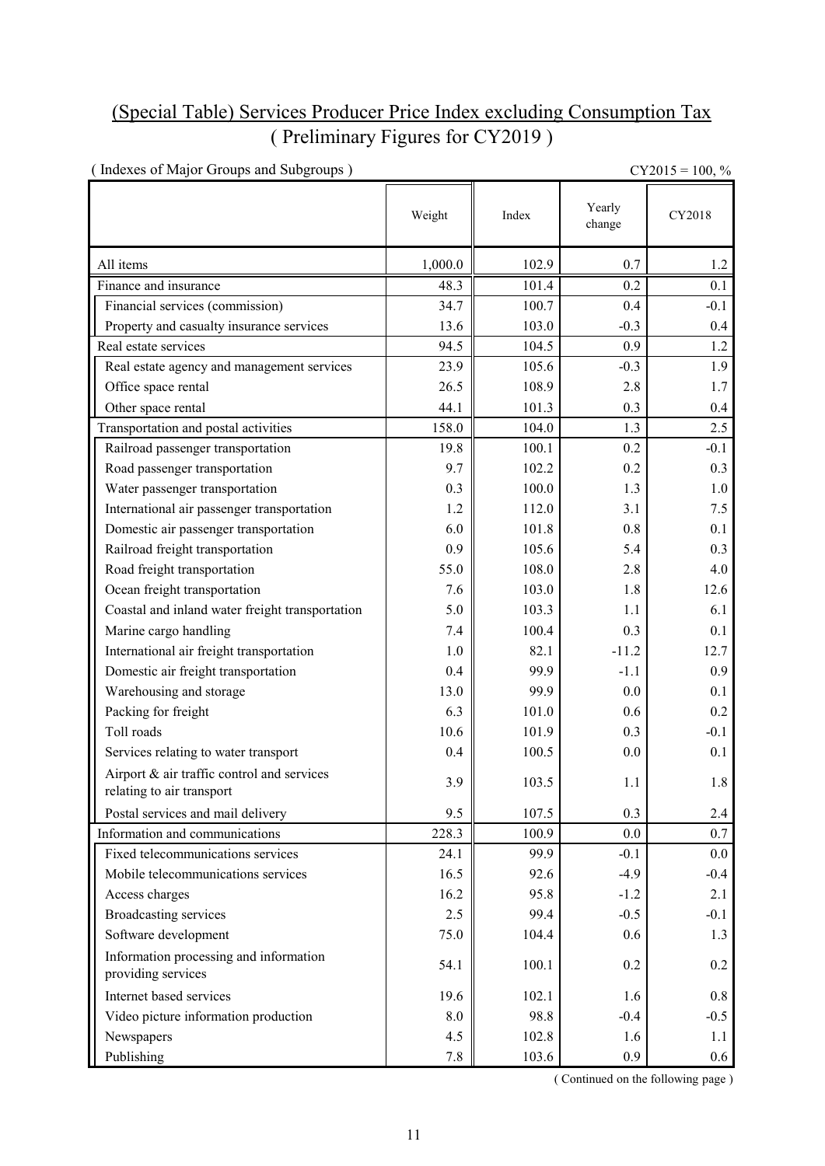# (Special Table) Services Producer Price Index excluding Consumption Tax ( Preliminary Figures for CY2019 )

| (Indexes of Major Groups and Subgroups)                                 |         |       |                  | $CY2015 = 100, \%$ |
|-------------------------------------------------------------------------|---------|-------|------------------|--------------------|
|                                                                         | Weight  | Index | Yearly<br>change | CY2018             |
| All items                                                               | 1,000.0 | 102.9 | 0.7              | 1.2                |
| Finance and insurance                                                   | 48.3    | 101.4 | 0.2              | 0.1                |
| Financial services (commission)                                         | 34.7    | 100.7 | 0.4              | $-0.1$             |
| Property and casualty insurance services                                | 13.6    | 103.0 | $-0.3$           | $0.4\,$            |
| Real estate services                                                    | 94.5    | 104.5 | 0.9              | 1.2                |
| Real estate agency and management services                              | 23.9    | 105.6 | $-0.3$           | 1.9                |
| Office space rental                                                     | 26.5    | 108.9 | 2.8              | 1.7                |
| Other space rental                                                      | 44.1    | 101.3 | 0.3              | $0.4\,$            |
| Transportation and postal activities                                    | 158.0   | 104.0 | 1.3              | 2.5                |
| Railroad passenger transportation                                       | 19.8    | 100.1 | 0.2              | $-0.1$             |
| Road passenger transportation                                           | 9.7     | 102.2 | 0.2              | 0.3                |
| Water passenger transportation                                          | 0.3     | 100.0 | 1.3              | 1.0                |
| International air passenger transportation                              | 1.2     | 112.0 | 3.1              | 7.5                |
| Domestic air passenger transportation                                   | 6.0     | 101.8 | 0.8              | 0.1                |
| Railroad freight transportation                                         | 0.9     | 105.6 | 5.4              | 0.3                |
| Road freight transportation                                             | 55.0    | 108.0 | 2.8              | 4.0                |
| Ocean freight transportation                                            | 7.6     | 103.0 | 1.8              | 12.6               |
| Coastal and inland water freight transportation                         | 5.0     | 103.3 | 1.1              | 6.1                |
| Marine cargo handling                                                   | 7.4     | 100.4 | 0.3              | 0.1                |
| International air freight transportation                                | 1.0     | 82.1  | $-11.2$          | 12.7               |
| Domestic air freight transportation                                     | 0.4     | 99.9  | $-1.1$           | 0.9                |
| Warehousing and storage                                                 | 13.0    | 99.9  | 0.0              | 0.1                |
| Packing for freight                                                     | 6.3     | 101.0 | 0.6              | 0.2                |
| Toll roads                                                              | 10.6    | 101.9 | 0.3              | $-0.1$             |
| Services relating to water transport                                    | 0.4     | 100.5 | 0.0              | 0.1                |
| Airport & air traffic control and services<br>relating to air transport | 3.9     | 103.5 | 1.1              | 1.8                |
| Postal services and mail delivery                                       | 9.5     | 107.5 | 0.3              | 2.4                |
| Information and communications                                          | 228.3   | 100.9 | 0.0              | 0.7                |
| Fixed telecommunications services                                       | 24.1    | 99.9  | $-0.1$           | 0.0                |
| Mobile telecommunications services                                      | 16.5    | 92.6  | $-4.9$           | $-0.4$             |
| Access charges                                                          | 16.2    | 95.8  | $-1.2$           | 2.1                |
| <b>Broadcasting services</b>                                            | 2.5     | 99.4  | $-0.5$           | $-0.1$             |
| Software development                                                    | 75.0    | 104.4 | 0.6              | 1.3                |
| Information processing and information<br>providing services            | 54.1    | 100.1 | 0.2              | 0.2                |
| Internet based services                                                 | 19.6    | 102.1 | 1.6              | 0.8                |
| Video picture information production                                    | 8.0     | 98.8  | $-0.4$           | $-0.5$             |
| Newspapers                                                              | 4.5     | 102.8 | 1.6              | 1.1                |
| Publishing                                                              | 7.8     | 103.6 | 0.9              | 0.6 <sub>1</sub>   |

( Continued on the following page )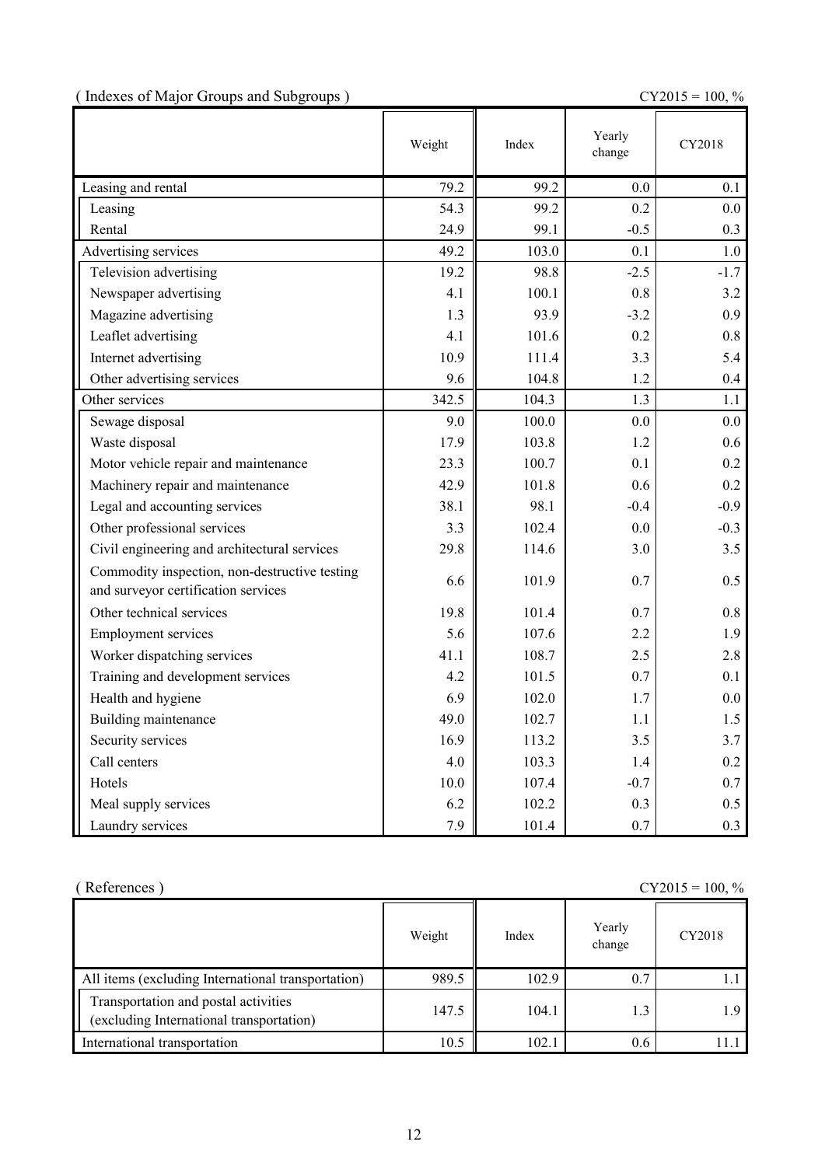| (Indexes of Major Groups and Subgroups) |  |  |  |
|-----------------------------------------|--|--|--|
|                                         |  |  |  |

 $CY2015 = 100, \%$ 

|                                                                                      | Weight | Index | Yearly<br>change | CY2018 |
|--------------------------------------------------------------------------------------|--------|-------|------------------|--------|
| Leasing and rental                                                                   | 79.2   | 99.2  | 0.0              | 0.1    |
| Leasing                                                                              | 54.3   | 99.2  | 0.2              | 0.0    |
| Rental                                                                               | 24.9   | 99.1  | $-0.5$           | 0.3    |
| Advertising services                                                                 | 49.2   | 103.0 | 0.1              | 1.0    |
| Television advertising                                                               | 19.2   | 98.8  | $-2.5$           | $-1.7$ |
| Newspaper advertising                                                                | 4.1    | 100.1 | 0.8              | 3.2    |
| Magazine advertising                                                                 | 1.3    | 93.9  | $-3.2$           | 0.9    |
| Leaflet advertising                                                                  | 4.1    | 101.6 | 0.2              | 0.8    |
| Internet advertising                                                                 | 10.9   | 111.4 | 3.3              | 5.4    |
| Other advertising services                                                           | 9.6    | 104.8 | 1.2              | 0.4    |
| Other services                                                                       | 342.5  | 104.3 | 1.3              | 1.1    |
| Sewage disposal                                                                      | 9.0    | 100.0 | 0.0              | 0.0    |
| Waste disposal                                                                       | 17.9   | 103.8 | 1.2              | 0.6    |
| Motor vehicle repair and maintenance                                                 | 23.3   | 100.7 | 0.1              | 0.2    |
| Machinery repair and maintenance                                                     | 42.9   | 101.8 | 0.6              | 0.2    |
| Legal and accounting services                                                        | 38.1   | 98.1  | $-0.4$           | $-0.9$ |
| Other professional services                                                          | 3.3    | 102.4 | 0.0              | $-0.3$ |
| Civil engineering and architectural services                                         | 29.8   | 114.6 | 3.0              | 3.5    |
| Commodity inspection, non-destructive testing<br>and surveyor certification services | 6.6    | 101.9 | 0.7              | 0.5    |
| Other technical services                                                             | 19.8   | 101.4 | 0.7              | 0.8    |
| <b>Employment services</b>                                                           | 5.6    | 107.6 | 2.2              | 1.9    |
| Worker dispatching services                                                          | 41.1   | 108.7 | 2.5              | 2.8    |
| Training and development services                                                    | 4.2    | 101.5 | 0.7              | 0.1    |
| Health and hygiene                                                                   | 6.9    | 102.0 | 1.7              | 0.0    |
| Building maintenance                                                                 | 49.0   | 102.7 | 1.1              | 1.5    |
| Security services                                                                    | 16.9   | 113.2 | 3.5              | 3.7    |
| Call centers                                                                         | 4.0    | 103.3 | 1.4              | 0.2    |
| Hotels                                                                               | 10.0   | 107.4 | $-0.7$           | 0.7    |
| Meal supply services                                                                 | 6.2    | 102.2 | 0.3              | 0.5    |
| Laundry services                                                                     | 7.9    | 101.4 | 0.7              | 0.3    |

| (References)<br>$CY2015 = 100, %$                                                |        |       |                  |        |  |
|----------------------------------------------------------------------------------|--------|-------|------------------|--------|--|
|                                                                                  | Weight | Index | Yearly<br>change | CY2018 |  |
| All items (excluding International transportation)                               | 989.5  | 102.9 | 0.7              |        |  |
| Transportation and postal activities<br>(excluding International transportation) | 147.5  | 104.1 | 1.3              | 1.9    |  |
| International transportation                                                     | 10.5   | 102.1 | 0.6              |        |  |